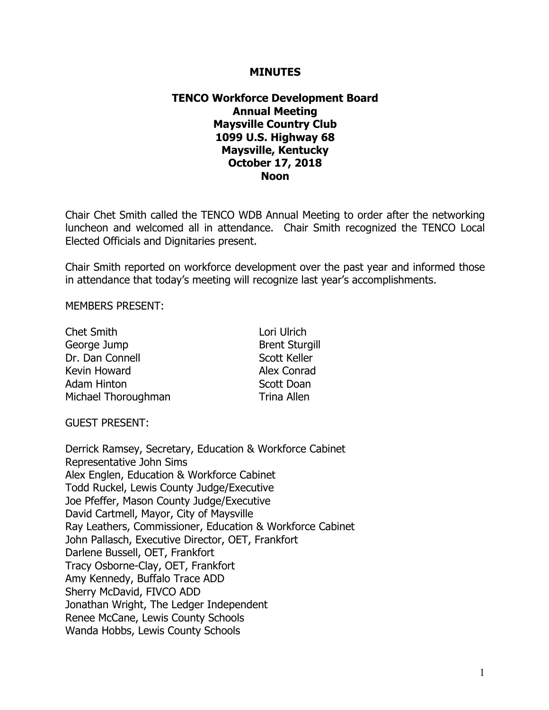### **MINUTES**

# **TENCO Workforce Development Board Annual Meeting Maysville Country Club 1099 U.S. Highway 68 Maysville, Kentucky October 17, 2018 Noon**

Chair Chet Smith called the TENCO WDB Annual Meeting to order after the networking luncheon and welcomed all in attendance. Chair Smith recognized the TENCO Local Elected Officials and Dignitaries present.

Chair Smith reported on workforce development over the past year and informed those in attendance that today's meeting will recognize last year's accomplishments.

MEMBERS PRESENT:

| <b>Chet Smith</b>   | Lori Ulrich           |
|---------------------|-----------------------|
| George Jump         | <b>Brent Sturgill</b> |
| Dr. Dan Connell     | <b>Scott Keller</b>   |
| Kevin Howard        | Alex Conrad           |
| Adam Hinton         | Scott Doan            |
| Michael Thoroughman | <b>Trina Allen</b>    |

GUEST PRESENT:

Derrick Ramsey, Secretary, Education & Workforce Cabinet Representative John Sims Alex Englen, Education & Workforce Cabinet Todd Ruckel, Lewis County Judge/Executive Joe Pfeffer, Mason County Judge/Executive David Cartmell, Mayor, City of Maysville Ray Leathers, Commissioner, Education & Workforce Cabinet John Pallasch, Executive Director, OET, Frankfort Darlene Bussell, OET, Frankfort Tracy Osborne-Clay, OET, Frankfort Amy Kennedy, Buffalo Trace ADD Sherry McDavid, FIVCO ADD Jonathan Wright, The Ledger Independent Renee McCane, Lewis County Schools Wanda Hobbs, Lewis County Schools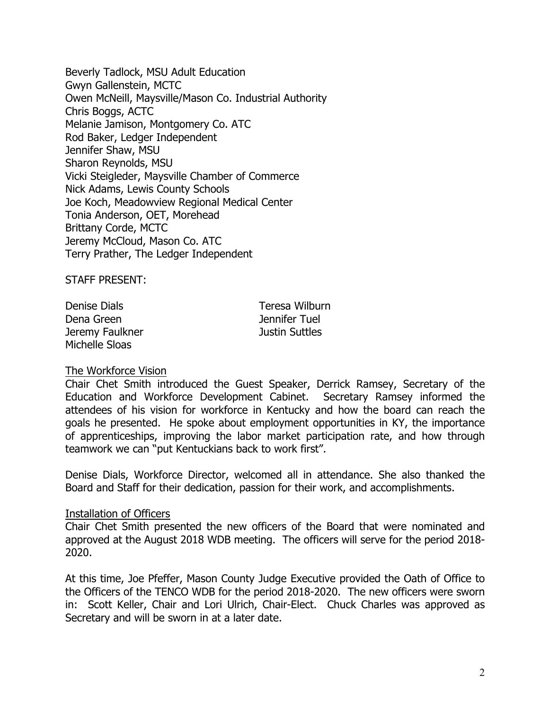Beverly Tadlock, MSU Adult Education Gwyn Gallenstein, MCTC Owen McNeill, Maysville/Mason Co. Industrial Authority Chris Boggs, ACTC Melanie Jamison, Montgomery Co. ATC Rod Baker, Ledger Independent Jennifer Shaw, MSU Sharon Reynolds, MSU Vicki Steigleder, Maysville Chamber of Commerce Nick Adams, Lewis County Schools Joe Koch, Meadowview Regional Medical Center Tonia Anderson, OET, Morehead Brittany Corde, MCTC Jeremy McCloud, Mason Co. ATC Terry Prather, The Ledger Independent

STAFF PRESENT:

Denise Dials Teresa Wilburn Dena Green and Tennifer Tuel Jeremy Faulkner Justin Suttles Michelle Sloas

#### The Workforce Vision

Chair Chet Smith introduced the Guest Speaker, Derrick Ramsey, Secretary of the Education and Workforce Development Cabinet. Secretary Ramsey informed the attendees of his vision for workforce in Kentucky and how the board can reach the goals he presented. He spoke about employment opportunities in KY, the importance of apprenticeships, improving the labor market participation rate, and how through teamwork we can "put Kentuckians back to work first".

Denise Dials, Workforce Director, welcomed all in attendance. She also thanked the Board and Staff for their dedication, passion for their work, and accomplishments.

#### Installation of Officers

Chair Chet Smith presented the new officers of the Board that were nominated and approved at the August 2018 WDB meeting. The officers will serve for the period 2018- 2020.

At this time, Joe Pfeffer, Mason County Judge Executive provided the Oath of Office to the Officers of the TENCO WDB for the period 2018-2020. The new officers were sworn in: Scott Keller, Chair and Lori Ulrich, Chair-Elect. Chuck Charles was approved as Secretary and will be sworn in at a later date.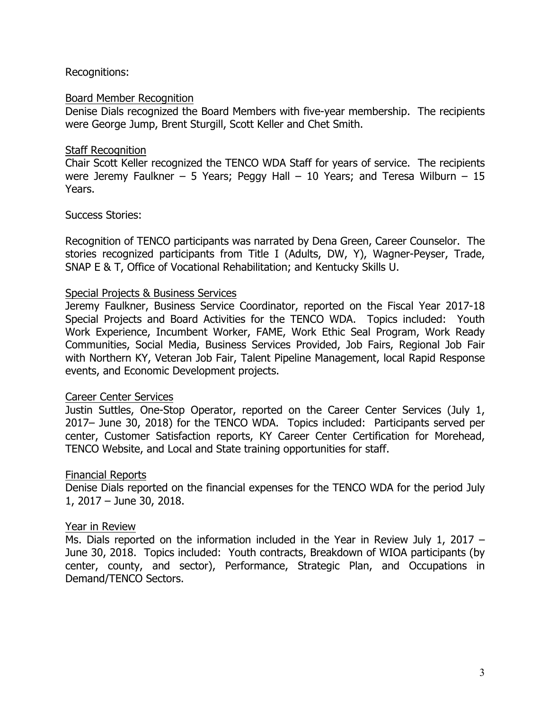# Recognitions:

### Board Member Recognition

Denise Dials recognized the Board Members with five-year membership. The recipients were George Jump, Brent Sturgill, Scott Keller and Chet Smith.

## Staff Recognition

Chair Scott Keller recognized the TENCO WDA Staff for years of service. The recipients were Jeremy Faulkner – 5 Years; Peggy Hall – 10 Years; and Teresa Wilburn – 15 Years.

## Success Stories:

Recognition of TENCO participants was narrated by Dena Green, Career Counselor. The stories recognized participants from Title I (Adults, DW, Y), Wagner-Peyser, Trade, SNAP E & T, Office of Vocational Rehabilitation; and Kentucky Skills U.

## Special Projects & Business Services

Jeremy Faulkner, Business Service Coordinator, reported on the Fiscal Year 2017-18 Special Projects and Board Activities for the TENCO WDA. Topics included: Youth Work Experience, Incumbent Worker, FAME, Work Ethic Seal Program, Work Ready Communities, Social Media, Business Services Provided, Job Fairs, Regional Job Fair with Northern KY, Veteran Job Fair, Talent Pipeline Management, local Rapid Response events, and Economic Development projects.

# Career Center Services

Justin Suttles, One-Stop Operator, reported on the Career Center Services (July 1, 2017– June 30, 2018) for the TENCO WDA. Topics included: Participants served per center, Customer Satisfaction reports, KY Career Center Certification for Morehead, TENCO Website, and Local and State training opportunities for staff.

# Financial Reports

Denise Dials reported on the financial expenses for the TENCO WDA for the period July 1, 2017 – June 30, 2018.

# Year in Review

Ms. Dials reported on the information included in the Year in Review July 1, 2017 – June 30, 2018. Topics included: Youth contracts, Breakdown of WIOA participants (by center, county, and sector), Performance, Strategic Plan, and Occupations in Demand/TENCO Sectors.